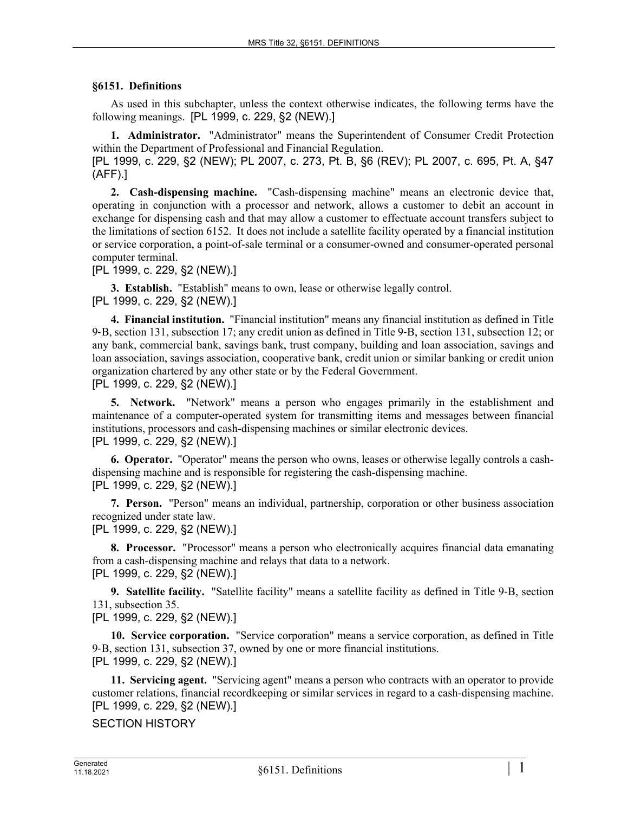## **§6151. Definitions**

As used in this subchapter, unless the context otherwise indicates, the following terms have the following meanings. [PL 1999, c. 229, §2 (NEW).]

**1. Administrator.** "Administrator" means the Superintendent of Consumer Credit Protection within the Department of Professional and Financial Regulation.

[PL 1999, c. 229, §2 (NEW); PL 2007, c. 273, Pt. B, §6 (REV); PL 2007, c. 695, Pt. A, §47 (AFF).]

**2. Cash-dispensing machine.** "Cash-dispensing machine" means an electronic device that, operating in conjunction with a processor and network, allows a customer to debit an account in exchange for dispensing cash and that may allow a customer to effectuate account transfers subject to the limitations of section 6152. It does not include a satellite facility operated by a financial institution or service corporation, a point-of-sale terminal or a consumer-owned and consumer-operated personal computer terminal.

[PL 1999, c. 229, §2 (NEW).]

**3. Establish.** "Establish" means to own, lease or otherwise legally control. [PL 1999, c. 229, §2 (NEW).]

**4. Financial institution.** "Financial institution" means any financial institution as defined in Title 9‑B, section 131, subsection 17; any credit union as defined in Title 9‑B, section 131, subsection 12; or any bank, commercial bank, savings bank, trust company, building and loan association, savings and loan association, savings association, cooperative bank, credit union or similar banking or credit union organization chartered by any other state or by the Federal Government.

[PL 1999, c. 229, §2 (NEW).]

**5. Network.** "Network" means a person who engages primarily in the establishment and maintenance of a computer-operated system for transmitting items and messages between financial institutions, processors and cash-dispensing machines or similar electronic devices. [PL 1999, c. 229, §2 (NEW).]

**6. Operator.** "Operator" means the person who owns, leases or otherwise legally controls a cashdispensing machine and is responsible for registering the cash-dispensing machine. [PL 1999, c. 229, §2 (NEW).]

**7. Person.** "Person" means an individual, partnership, corporation or other business association recognized under state law.

[PL 1999, c. 229, §2 (NEW).]

**8. Processor.** "Processor" means a person who electronically acquires financial data emanating from a cash-dispensing machine and relays that data to a network. [PL 1999, c. 229, §2 (NEW).]

**9. Satellite facility.** "Satellite facility" means a satellite facility as defined in Title 9-B, section 131, subsection 35.

[PL 1999, c. 229, §2 (NEW).]

**10. Service corporation.** "Service corporation" means a service corporation, as defined in Title 9‑B, section 131, subsection 37, owned by one or more financial institutions. [PL 1999, c. 229, §2 (NEW).]

**11. Servicing agent.** "Servicing agent" means a person who contracts with an operator to provide customer relations, financial recordkeeping or similar services in regard to a cash-dispensing machine. [PL 1999, c. 229, §2 (NEW).]

SECTION HISTORY